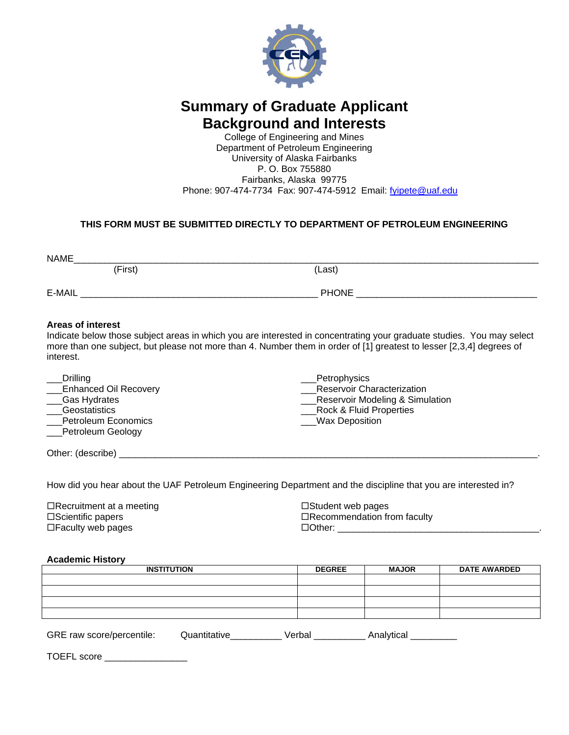

# **Summary of Graduate Applicant Background and Interests**

College of Engineering and Mines Department of Petroleum Engineering University of Alaska Fairbanks P. O. Box 755880 Fairbanks, Alaska 99775 Phone: 907-474-7734 Fax: 907-474-5912 Email: [fyipete@uaf.edu](mailto:fyipete@uaf.edu)

# **THIS FORM MUST BE SUBMITTED DIRECTLY TO DEPARTMENT OF PETROLEUM ENGINEERING**

| NAME                                  |                      |                                                                                                                                                                                                                                               |
|---------------------------------------|----------------------|-----------------------------------------------------------------------------------------------------------------------------------------------------------------------------------------------------------------------------------------------|
|                                       | (First)              | (Last)                                                                                                                                                                                                                                        |
|                                       | E-MAIL <b>E-MAIL</b> | <b>PHONE</b> PHONE                                                                                                                                                                                                                            |
| <b>Areas of interest</b><br>interest. |                      | Indicate below those subject areas in which you are interested in concentrating your graduate studies. You may select<br>more than one subject, but please not more than 4. Number them in order of [1] greatest to lesser [2,3,4] degrees of |
| Drilling                              |                      | Petrophysics                                                                                                                                                                                                                                  |

|  |  | <b>Enhanced Oil Recovery</b> |  |
|--|--|------------------------------|--|
|  |  |                              |  |

- Gas Hydrates
- \_\_\_Geostatistics Petroleum Economics
- 
- \_\_\_Petroleum Geology

\_\_\_Reservoir Characterization \_\_\_Reservoir Modeling & Simulation \_\_\_Rock & Fluid Properties Wax Deposition

Other: (describe)  $\Box$ 

How did you hear about the UAF Petroleum Engineering Department and the discipline that you are interested in?

 $\Box$ Recruitment at a meeting  $\square$ Scientific papers □Faculty web pages

 $\Box$ Student web pages □Recommendation from faculty  $\Box$  Other:  $\Box$ 

#### **Academic History**

| <b>INSTITUTION</b> | <b>DEGREE</b> | <b>MAJOR</b> | <b>DATE AWARDED</b> |  |
|--------------------|---------------|--------------|---------------------|--|
|                    |               |              |                     |  |
|                    |               |              |                     |  |
|                    |               |              |                     |  |
|                    |               |              |                     |  |
|                    |               |              |                     |  |

GRE raw score/percentile: Quantitative\_\_\_\_\_\_\_\_\_ Verbal \_\_\_\_\_\_\_\_\_ Analytical \_\_\_\_\_\_\_\_

TOEFL score \_\_\_\_\_\_\_\_\_\_\_\_\_\_\_\_